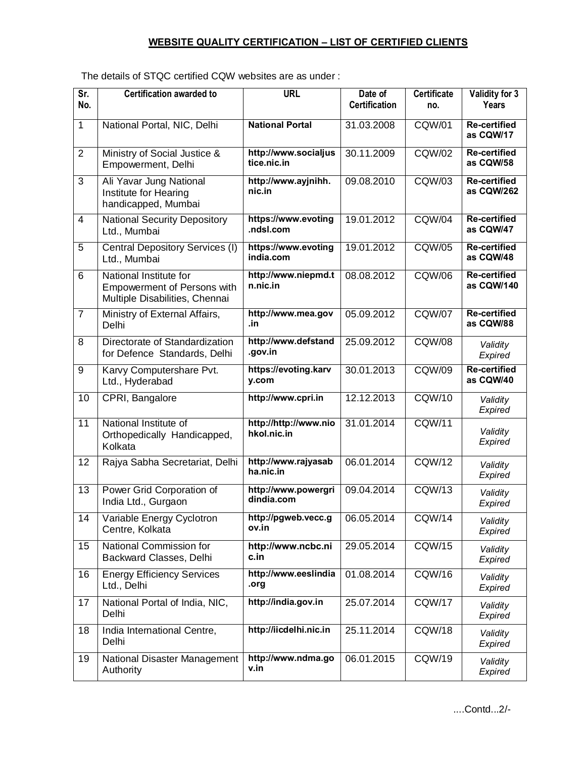## **WEBSITE QUALITY CERTIFICATION – LIST OF CERTIFIED CLIENTS**

| Sr.<br>No.     | <b>Certification awarded to</b>                                                                | <b>URL</b>                           | Date of<br><b>Certification</b> | <b>Certificate</b><br>no. | Validity for 3<br>Years           |
|----------------|------------------------------------------------------------------------------------------------|--------------------------------------|---------------------------------|---------------------------|-----------------------------------|
| $\mathbf{1}$   | National Portal, NIC, Delhi                                                                    | <b>National Portal</b>               | 31.03.2008                      | <b>CQW/01</b>             | <b>Re-certified</b><br>as CQW/17  |
| $\overline{2}$ | Ministry of Social Justice &<br>Empowerment, Delhi                                             | http://www.socialjus<br>tice.nic.in  | 30.11.2009                      | <b>CQW/02</b>             | <b>Re-certified</b><br>as CQW/58  |
| 3              | Ali Yavar Jung National<br>Institute for Hearing<br>handicapped, Mumbai                        | http://www.ayjnihh.<br>nic.in        | 09.08.2010                      | CQW/03                    | <b>Re-certified</b><br>as CQW/262 |
| 4              | <b>National Security Depository</b><br>Ltd., Mumbai                                            | https://www.evoting<br>.ndsl.com     | 19.01.2012                      | <b>CQW/04</b>             | <b>Re-certified</b><br>as CQW/47  |
| 5              | Central Depository Services (I)<br>Ltd., Mumbai                                                | https://www.evoting<br>india.com     | 19.01.2012                      | <b>CQW/05</b>             | <b>Re-certified</b><br>as CQW/48  |
| 6              | National Institute for<br><b>Empowerment of Persons with</b><br>Multiple Disabilities, Chennai | http://www.niepmd.t<br>n.nic.in      | 08.08.2012                      | <b>CQW/06</b>             | <b>Re-certified</b><br>as CQW/140 |
| $\overline{7}$ | Ministry of External Affairs,<br>Delhi                                                         | http://www.mea.gov<br>.in            | 05.09.2012                      | <b>CQW/07</b>             | <b>Re-certified</b><br>as CQW/88  |
| 8              | Directorate of Standardization<br>for Defence Standards, Delhi                                 | http://www.defstand<br>.gov.in       | 25.09.2012                      | <b>CQW/08</b>             | Validity<br>Expired               |
| 9              | Karvy Computershare Pvt.<br>Ltd., Hyderabad                                                    | https://evoting.karv<br>y.com        | 30.01.2013                      | <b>CQW/09</b>             | <b>Re-certified</b><br>as CQW/40  |
| 10             | CPRI, Bangalore                                                                                | http://www.cpri.in                   | 12.12.2013                      | <b>CQW/10</b>             | Validity<br>Expired               |
| 11             | National Institute of<br>Orthopedically Handicapped,<br>Kolkata                                | http://http://www.nio<br>hkol.nic.in | 31.01.2014                      | CQW/11                    | Validity<br>Expired               |
| 12             | Rajya Sabha Secretariat, Delhi                                                                 | http://www.rajyasab<br>ha.nic.in     | 06.01.2014                      | <b>CQW/12</b>             | Validity<br>Expired               |
| 13             | Power Grid Corporation of<br>India Ltd., Gurgaon                                               | http://www.powergri<br>dindia.com    | 09.04.2014                      | CQW/13                    | Validity<br>Expired               |
| 14             | Variable Energy Cyclotron<br>Centre, Kolkata                                                   | http://pgweb.vecc.g<br>ov.in         | 06.05.2014                      | CQW/14                    | Validity<br>Expired               |
| 15             | National Commission for<br>Backward Classes, Delhi                                             | http://www.ncbc.ni<br>c.in           | 29.05.2014                      | <b>CQW/15</b>             | Validity<br>Expired               |
| 16             | <b>Energy Efficiency Services</b><br>Ltd., Delhi                                               | http://www.eeslindia<br>.org         | 01.08.2014                      | CQW/16                    | Validity<br>Expired               |
| 17             | National Portal of India, NIC,<br>Delhi                                                        | http://india.gov.in                  | 25.07.2014                      | <b>CQW/17</b>             | Validity<br>Expired               |
| 18             | India International Centre,<br>Delhi                                                           | http://iicdelhi.nic.in               | 25.11.2014                      | <b>CQW/18</b>             | Validity<br>Expired               |
| 19             | National Disaster Management<br>Authority                                                      | http://www.ndma.go<br>v.in           | 06.01.2015                      | CQW/19                    | Validity<br>Expired               |

The details of STQC certified CQW websites are as under :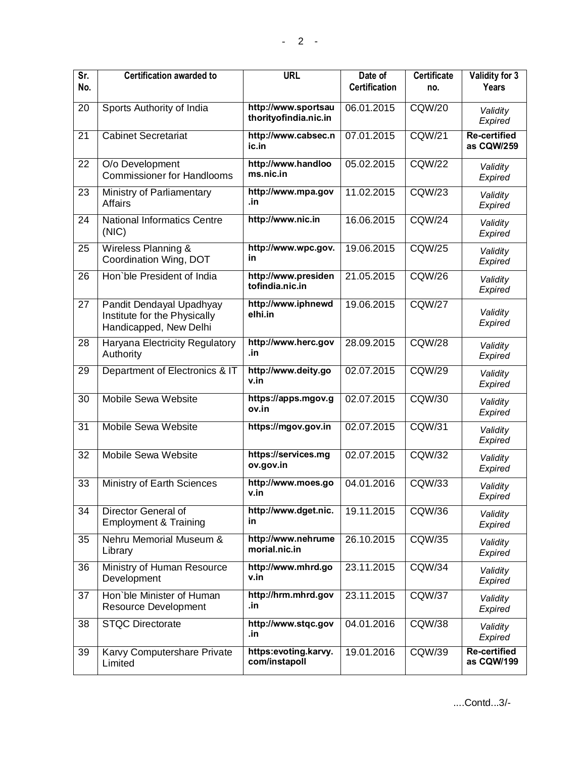| Sr.<br>No.      | <b>Certification awarded to</b>                                                    | <b>URL</b>                                   | Date of<br><b>Certification</b> | <b>Certificate</b><br>no. | Validity for 3<br>Years           |
|-----------------|------------------------------------------------------------------------------------|----------------------------------------------|---------------------------------|---------------------------|-----------------------------------|
| 20              | Sports Authority of India                                                          | http://www.sportsau<br>thorityofindia.nic.in | 06.01.2015                      | <b>CQW/20</b>             | Validity<br>Expired               |
| $\overline{21}$ | <b>Cabinet Secretariat</b>                                                         | http://www.cabsec.n<br>ic.in                 | 07.01.2015                      | <b>CQW/21</b>             | <b>Re-certified</b><br>as CQW/259 |
| 22              | O/o Development<br><b>Commissioner for Handlooms</b>                               | http://www.handloo<br>ms.nic.in              | 05.02.2015                      | <b>CQW/22</b>             | Validity<br>Expired               |
| 23              | Ministry of Parliamentary<br><b>Affairs</b>                                        | http://www.mpa.gov<br>.in                    | 11.02.2015                      | <b>CQW/23</b>             | Validity<br>Expired               |
| 24              | <b>National Informatics Centre</b><br>(NIC)                                        | http://www.nic.in                            | 16.06.2015                      | CQW/24                    | Validity<br>Expired               |
| 25              | Wireless Planning &<br>Coordination Wing, DOT                                      | http://www.wpc.gov.<br>in                    | 19.06.2015                      | <b>CQW/25</b>             | Validity<br>Expired               |
| $\overline{26}$ | Hon'ble President of India                                                         | http://www.presiden<br>tofindia.nic.in       | 21.05.2015                      | <b>CQW/26</b>             | Validity<br>Expired               |
| 27              | Pandit Dendayal Upadhyay<br>Institute for the Physically<br>Handicapped, New Delhi | http://www.iphnewd<br>elhi.in                | 19.06.2015                      | <b>CQW/27</b>             | Validity<br>Expired               |
| 28              | Haryana Electricity Regulatory<br>Authority                                        | http://www.herc.gov<br>.in                   | 28.09.2015                      | <b>CQW/28</b>             | Validity<br>Expired               |
| 29              | Department of Electronics & IT                                                     | http://www.deity.go<br>v.in                  | 02.07.2015                      | <b>CQW/29</b>             | Validity<br>Expired               |
| 30              | <b>Mobile Sewa Website</b>                                                         | https://apps.mgov.g<br>ov.in                 | 02.07.2015                      | <b>CQW/30</b>             | Validity<br>Expired               |
| 31              | <b>Mobile Sewa Website</b>                                                         | https://mgov.gov.in                          | 02.07.2015                      | <b>CQW/31</b>             | Validity<br>Expired               |
| 32              | Mobile Sewa Website                                                                | https://services.mg<br>ov.gov.in             | 02.07.2015                      | CQW/32                    | Validity<br>Expired               |
| $\overline{33}$ | Ministry of Earth Sciences                                                         | http://www.moes.go<br>v.in                   | 04.01.2016                      | CQW/33                    | Validity<br>Expired               |
| 34              | Director General of<br><b>Employment &amp; Training</b>                            | http://www.dget.nic.<br>in.                  | 19.11.2015                      | CQW/36                    | Validity<br>Expired               |
| 35              | Nehru Memorial Museum &<br>Library                                                 | http://www.nehrume<br>morial.nic.in          | 26.10.2015                      | CQW/35                    | Validity<br>Expired               |
| 36              | Ministry of Human Resource<br>Development                                          | http://www.mhrd.go<br>v.in                   | 23.11.2015                      | CQW/34                    | Validity<br>Expired               |
| 37              | Hon'ble Minister of Human<br>Resource Development                                  | http://hrm.mhrd.gov<br>.in                   | 23.11.2015                      | <b>CQW/37</b>             | Validity<br>Expired               |
| 38              | <b>STQC Directorate</b>                                                            | http://www.stqc.gov<br>.in                   | 04.01.2016                      | <b>CQW/38</b>             | Validity<br>Expired               |
| 39              | Karvy Computershare Private<br>Limited                                             | https:evoting.karvy.<br>com/instapoll        | 19.01.2016                      | CQW/39                    | <b>Re-certified</b><br>as CQW/199 |

....Contd...3/-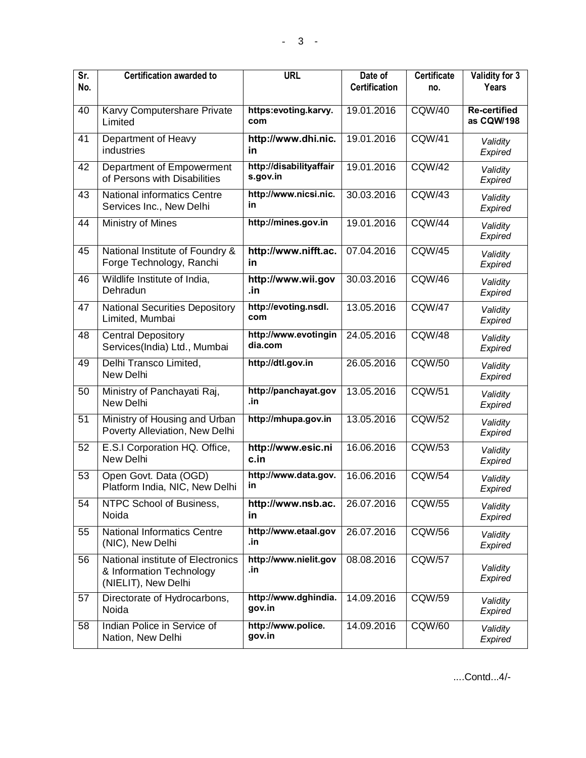| Sr.<br>No. | <b>Certification awarded to</b>                                                      | <b>URL</b>                          | Date of<br><b>Certification</b> | <b>Certificate</b><br>no. | Validity for 3<br>Years           |
|------------|--------------------------------------------------------------------------------------|-------------------------------------|---------------------------------|---------------------------|-----------------------------------|
| 40         | Karvy Computershare Private<br>Limited                                               | https:evoting.karvy.<br>com         | 19.01.2016                      | <b>CQW/40</b>             | <b>Re-certified</b><br>as CQW/198 |
| 41         | Department of Heavy<br>industries                                                    | http://www.dhi.nic.<br>in           | 19.01.2016                      | <b>CQW/41</b>             | Validity<br>Expired               |
| 42         | Department of Empowerment<br>of Persons with Disabilities                            | http://disabilityaffair<br>s.gov.in | 19.01.2016                      | <b>CQW/42</b>             | Validity<br>Expired               |
| 43         | <b>National informatics Centre</b><br>Services Inc., New Delhi                       | http://www.nicsi.nic.<br>in         | 30.03.2016                      | <b>CQW/43</b>             | Validity<br>Expired               |
| 44         | Ministry of Mines                                                                    | http://mines.gov.in                 | 19.01.2016                      | <b>CQW/44</b>             | Validity<br>Expired               |
| 45         | National Institute of Foundry &<br>Forge Technology, Ranchi                          | http://www.nifft.ac.<br>in          | 07.04.2016                      | <b>CQW/45</b>             | Validity<br>Expired               |
| 46         | Wildlife Institute of India,<br>Dehradun                                             | http://www.wii.gov<br>.in           | 30.03.2016                      | <b>CQW/46</b>             | Validity<br>Expired               |
| 47         | <b>National Securities Depository</b><br>Limited, Mumbai                             | http://evoting.nsdl.<br>com         | 13.05.2016                      | <b>CQW/47</b>             | Validity<br>Expired               |
| 48         | <b>Central Depository</b><br>Services(India) Ltd., Mumbai                            | http://www.evotingin<br>dia.com     | 24.05.2016                      | <b>CQW/48</b>             | Validity<br>Expired               |
| 49         | Delhi Transco Limited,<br>New Delhi                                                  | http://dtl.gov.in                   | 26.05.2016                      | <b>CQW/50</b>             | Validity<br>Expired               |
| 50         | Ministry of Panchayati Raj,<br>New Delhi                                             | http://panchayat.gov<br>.in         | 13.05.2016                      | <b>CQW/51</b>             | Validity<br>Expired               |
| 51         | Ministry of Housing and Urban<br>Poverty Alleviation, New Delhi                      | http://mhupa.gov.in                 | 13.05.2016                      | <b>CQW/52</b>             | Validity<br>Expired               |
| 52         | E.S.I Corporation HQ. Office,<br>New Delhi                                           | http://www.esic.ni<br>c.in          | 16.06.2016                      | CQW/53                    | Validity<br>Expired               |
| 53         | Open Govt. Data (OGD)<br>Platform India, NIC, New Delhi                              | http://www.data.gov.<br>in          | 16.06.2016                      | <b>CQW/54</b>             | Validity<br>Expired               |
| 54         | NTPC School of Business,<br>Noida                                                    | http://www.nsb.ac.<br>in            | 26.07.2016                      | <b>CQW/55</b>             | Validity<br>Expired               |
| 55         | <b>National Informatics Centre</b><br>(NIC), New Delhi                               | http://www.etaal.gov<br>.in         | 26.07.2016                      | <b>CQW/56</b>             | Validity<br>Expired               |
| 56         | National institute of Electronics<br>& Information Technology<br>(NIELIT), New Delhi | http://www.nielit.gov<br>.in        | 08.08.2016                      | <b>CQW/57</b>             | Validity<br>Expired               |
| 57         | Directorate of Hydrocarbons,<br>Noida                                                | http://www.dghindia.<br>gov.in      | 14.09.2016                      | <b>CQW/59</b>             | Validity<br>Expired               |
| 58         | Indian Police in Service of<br>Nation, New Delhi                                     | http://www.police.<br>gov.in        | 14.09.2016                      | CQW/60                    | Validity<br>Expired               |

....Contd...4/-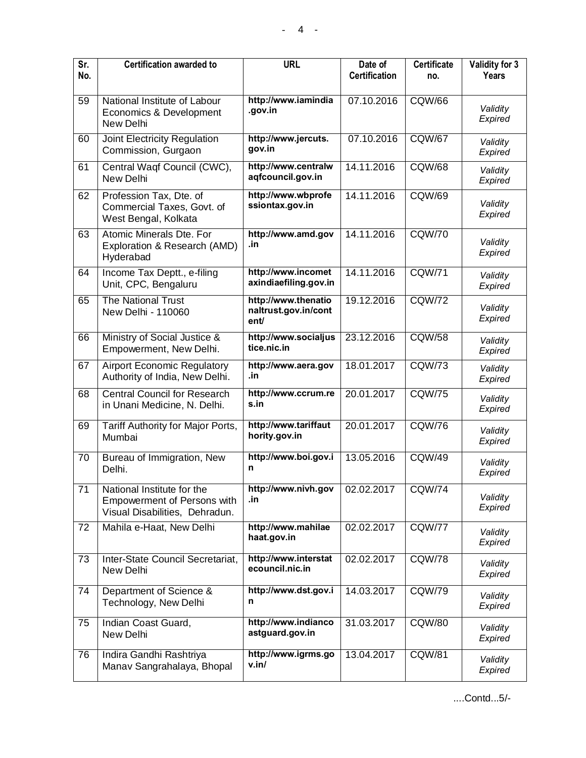| Sr.<br>No.      | <b>Certification awarded to</b>                                                                    | <b>URL</b>                                          | Date of<br><b>Certification</b> | <b>Certificate</b><br>no. | Validity for 3<br>Years |
|-----------------|----------------------------------------------------------------------------------------------------|-----------------------------------------------------|---------------------------------|---------------------------|-------------------------|
| 59              | National Institute of Labour<br>Economics & Development<br>New Delhi                               | http://www.iamindia<br>.gov.in                      | 07.10.2016                      | <b>CQW/66</b>             | Validity<br>Expired     |
| 60              | Joint Electricity Regulation<br>Commission, Gurgaon                                                | http://www.jercuts.<br>gov.in                       | 07.10.2016                      | <b>CQW/67</b>             | Validity<br>Expired     |
| 61              | Central Waqf Council (CWC),<br>New Delhi                                                           | http://www.centralw<br>aqfcouncil.gov.in            | 14.11.2016                      | <b>CQW/68</b>             | Validity<br>Expired     |
| 62              | Profession Tax, Dte. of<br>Commercial Taxes, Govt. of<br>West Bengal, Kolkata                      | http://www.wbprofe<br>ssiontax.gov.in               | 14.11.2016                      | <b>CQW/69</b>             | Validity<br>Expired     |
| 63              | Atomic Minerals Dte. For<br>Exploration & Research (AMD)<br>Hyderabad                              | http://www.amd.gov<br>.in                           | 14.11.2016                      | <b>CQW/70</b>             | Validity<br>Expired     |
| 64              | Income Tax Deptt., e-filing<br>Unit, CPC, Bengaluru                                                | http://www.incomet<br>axindiaefiling.gov.in         | 14.11.2016                      | <b>CQW/71</b>             | Validity<br>Expired     |
| 65              | <b>The National Trust</b><br>New Delhi - 110060                                                    | http://www.thenatio<br>naltrust.gov.in/cont<br>ent/ | 19.12.2016                      | <b>CQW/72</b>             | Validity<br>Expired     |
| 66              | Ministry of Social Justice &<br>Empowerment, New Delhi.                                            | http://www.socialjus<br>tice.nic.in                 | 23.12.2016                      | <b>CQW/58</b>             | Validity<br>Expired     |
| 67              | <b>Airport Economic Regulatory</b><br>Authority of India, New Delhi.                               | http://www.aera.gov<br>.in                          | 18.01.2017                      | <b>CQW/73</b>             | Validity<br>Expired     |
| 68              | <b>Central Council for Research</b><br>in Unani Medicine, N. Delhi.                                | http://www.ccrum.re<br>s.in                         | 20.01.2017                      | <b>CQW/75</b>             | Validity<br>Expired     |
| 69              | Tariff Authority for Major Ports,<br>Mumbai                                                        | http://www.tariffaut<br>hority.gov.in               | 20.01.2017                      | <b>CQW/76</b>             | Validity<br>Expired     |
| 70              | Bureau of Immigration, New<br>Delhi.                                                               | http://www.boi.gov.i<br>n                           | 13.05.2016                      | <b>CQW/49</b>             | Validity<br>Expired     |
| $\overline{71}$ | National Institute for the<br><b>Empowerment of Persons with</b><br>Visual Disabilities, Dehradun. | http://www.nivh.gov<br>.in                          | 02.02.2017                      | <b>CQW/74</b>             | Validity<br>Expired     |
| 72              | Mahila e-Haat, New Delhi                                                                           | http://www.mahilae<br>haat.gov.in                   | 02.02.2017                      | <b>CQW/77</b>             | Validity<br>Expired     |
| 73              | Inter-State Council Secretariat,<br>New Delhi                                                      | http://www.interstat<br>ecouncil.nic.in             | 02.02.2017                      | <b>CQW/78</b>             | Validity<br>Expired     |
| $\overline{74}$ | Department of Science &<br>Technology, New Delhi                                                   | http://www.dst.gov.i<br>n                           | 14.03.2017                      | <b>CQW/79</b>             | Validity<br>Expired     |
| 75              | Indian Coast Guard,<br>New Delhi                                                                   | http://www.indianco<br>astguard.gov.in              | 31.03.2017                      | <b>CQW/80</b>             | Validity<br>Expired     |
| 76              | Indira Gandhi Rashtriya<br>Manav Sangrahalaya, Bhopal                                              | http://www.igrms.go<br>v.in/                        | 13.04.2017                      | <b>CQW/81</b>             | Validity<br>Expired     |

....Contd...5/-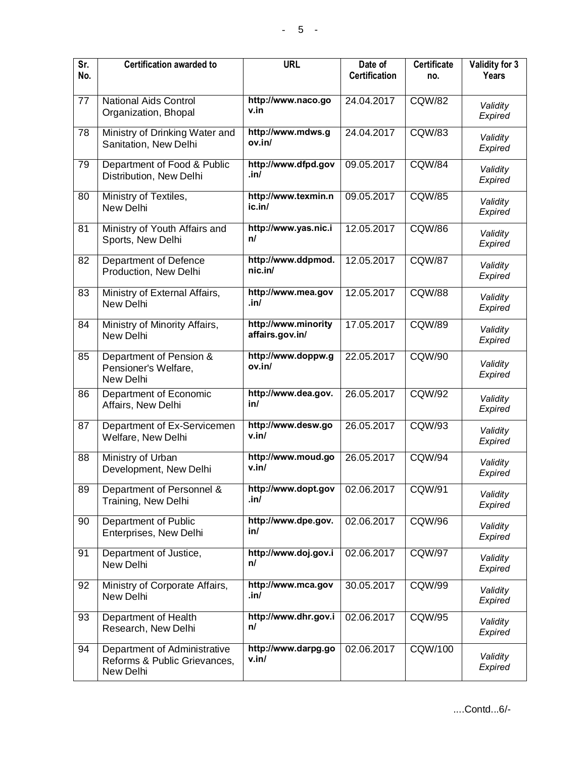| Sr.<br>No. | <b>Certification awarded to</b>                                           | <b>URL</b>                             | Date of<br><b>Certification</b> | <b>Certificate</b><br>no. | Validity for 3<br>Years |
|------------|---------------------------------------------------------------------------|----------------------------------------|---------------------------------|---------------------------|-------------------------|
| 77         | <b>National Aids Control</b><br>Organization, Bhopal                      | http://www.naco.go<br>v.in             | 24.04.2017                      | CQW/82                    | Validity<br>Expired     |
| 78         | Ministry of Drinking Water and<br>Sanitation, New Delhi                   | http://www.mdws.g<br>ov.in/            | 24.04.2017                      | <b>CQW/83</b>             | Validity<br>Expired     |
| 79         | Department of Food & Public<br>Distribution, New Delhi                    | http://www.dfpd.gov<br>.in/            | 09.05.2017                      | <b>CQW/84</b>             | Validity<br>Expired     |
| 80         | Ministry of Textiles,<br>New Delhi                                        | http://www.texmin.n<br>ic.in/          | 09.05.2017                      | <b>CQW/85</b>             | Validity<br>Expired     |
| 81         | Ministry of Youth Affairs and<br>Sports, New Delhi                        | http://www.yas.nic.i<br>n/             | 12.05.2017                      | <b>CQW/86</b>             | Validity<br>Expired     |
| 82         | Department of Defence<br>Production, New Delhi                            | http://www.ddpmod.<br>nic.in/          | 12.05.2017                      | <b>CQW/87</b>             | Validity<br>Expired     |
| 83         | Ministry of External Affairs,<br>New Delhi                                | http://www.mea.gov<br>.in/             | 12.05.2017                      | <b>CQW/88</b>             | Validity<br>Expired     |
| 84         | Ministry of Minority Affairs,<br>New Delhi                                | http://www.minority<br>affairs.gov.in/ | 17.05.2017                      | <b>CQW/89</b>             | Validity<br>Expired     |
| 85         | Department of Pension &<br>Pensioner's Welfare,<br>New Delhi              | http://www.doppw.g<br>ov.in/           | 22.05.2017                      | <b>CQW/90</b>             | Validity<br>Expired     |
| 86         | Department of Economic<br>Affairs, New Delhi                              | http://www.dea.gov.<br>in/             | 26.05.2017                      | <b>CQW/92</b>             | Validity<br>Expired     |
| 87         | Department of Ex-Servicemen<br>Welfare, New Delhi                         | http://www.desw.go<br>v.in/            | 26.05.2017                      | CQW/93                    | Validity<br>Expired     |
| 88         | Ministry of Urban<br>Development, New Delhi                               | http://www.moud.go<br>v.in/            | 26.05.2017                      | <b>CQW/94</b>             | Validity<br>Expired     |
| 89         | Department of Personnel &<br>Training, New Delhi                          | http://www.dopt.gov<br>.in/            | 02.06.2017                      | CQW/91                    | Validity<br>Expired     |
| 90         | Department of Public<br>Enterprises, New Delhi                            | http://www.dpe.gov.<br>in/             | 02.06.2017                      | <b>CQW/96</b>             | Validity<br>Expired     |
| 91         | Department of Justice,<br>New Delhi                                       | http://www.doj.gov.i<br>n/             | 02.06.2017                      | <b>CQW/97</b>             | Validity<br>Expired     |
| 92         | Ministry of Corporate Affairs,<br>New Delhi                               | http://www.mca.gov<br>.in/             | 30.05.2017                      | CQW/99                    | Validity<br>Expired     |
| 93         | Department of Health<br>Research, New Delhi                               | http://www.dhr.gov.i<br>n/             | 02.06.2017                      | <b>CQW/95</b>             | Validity<br>Expired     |
| 94         | Department of Administrative<br>Reforms & Public Grievances,<br>New Delhi | http://www.darpg.go<br>v.in/           | 02.06.2017                      | <b>CQW/100</b>            | Validity<br>Expired     |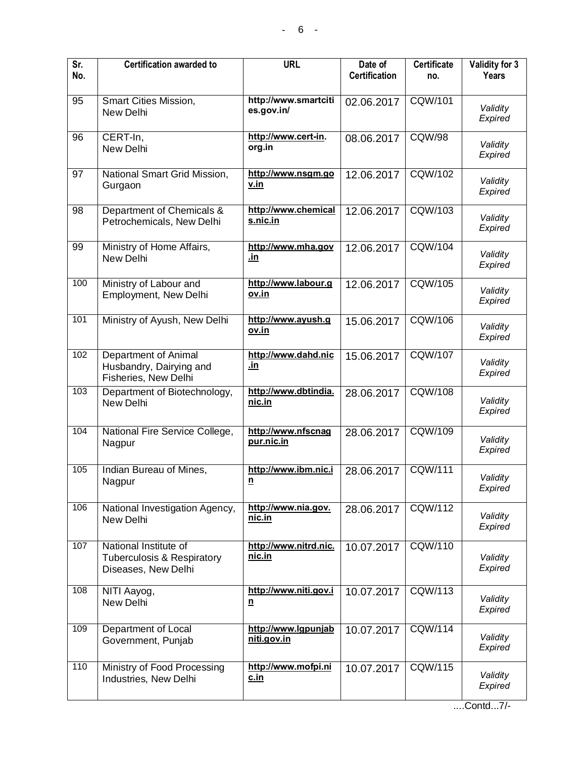| Sr.<br>No.      | <b>Certification awarded to</b>                                                       | <b>URL</b>                           | Date of<br><b>Certification</b> | <b>Certificate</b><br>no. | Validity for 3<br>Years |
|-----------------|---------------------------------------------------------------------------------------|--------------------------------------|---------------------------------|---------------------------|-------------------------|
| 95              | Smart Cities Mission,<br>New Delhi                                                    | http://www.smartciti<br>es.gov.in/   | 02.06.2017                      | CQW/101                   | Validity<br>Expired     |
| 96              | CERT-In,<br>New Delhi                                                                 | http://www.cert-in.<br>org.in        | 08.06.2017                      | <b>CQW/98</b>             | Validity<br>Expired     |
| 97              | National Smart Grid Mission,<br>Gurgaon                                               | http://www.nsgm.go<br>v.in           | 12.06.2017                      | CQW/102                   | Validity<br>Expired     |
| $\overline{98}$ | Department of Chemicals &<br>Petrochemicals, New Delhi                                | http://www.chemical<br>s.nic.in      | 12.06.2017                      | <b>CQW/103</b>            | Validity<br>Expired     |
| 99              | Ministry of Home Affairs,<br>New Delhi                                                | http://www.mha.gov<br><u>.in</u>     | 12.06.2017                      | <b>CQW/104</b>            | Validity<br>Expired     |
| 100             | Ministry of Labour and<br>Employment, New Delhi                                       | http://www.labour.g<br>ov.in         | 12.06.2017                      | <b>CQW/105</b>            | Validity<br>Expired     |
| 101             | Ministry of Ayush, New Delhi                                                          | http://www.ayush.g<br><u>ov.in</u>   | 15.06.2017                      | <b>CQW/106</b>            | Validity<br>Expired     |
| 102             | Department of Animal<br>Husbandry, Dairying and<br>Fisheries, New Delhi               | http://www.dahd.nic<br>.in           | 15.06.2017                      | <b>CQW/107</b>            | Validity<br>Expired     |
| 103             | Department of Biotechnology,<br>New Delhi                                             | http://www.dbtindia.<br>nic.in       | 28.06.2017                      | <b>CQW/108</b>            | Validity<br>Expired     |
| 104             | National Fire Service College,<br>Nagpur                                              | http://www.nfscnag<br>pur.nic.in     | 28.06.2017                      | CQW/109                   | Validity<br>Expired     |
| 105             | Indian Bureau of Mines,<br>Nagpur                                                     | http://www.ibm.nic.i<br>$\mathbf{n}$ | 28.06.2017                      | CQW/111                   | Validity<br>Expired     |
| 106             | National Investigation Agency,<br>New Delhi                                           | http://www.nia.gov.<br>nic.in        | 28.06.2017                      | CQW/112                   | Validity<br>Expired     |
| 107             | National Institute of<br><b>Tuberculosis &amp; Respiratory</b><br>Diseases, New Delhi | http://www.nitrd.nic.<br>nic.in      | 10.07.2017                      | <b>CQW/110</b>            | Validity<br>Expired     |
| 108             | NITI Aayog,<br>New Delhi                                                              | http://www.niti.gov.i<br>$\mathbf n$ | 10.07.2017                      | <b>CQW/113</b>            | Validity<br>Expired     |
| 109             | Department of Local<br>Government, Punjab                                             | http://www.lgpunjab<br>niti.gov.in   | 10.07.2017                      | <b>CQW/114</b>            | Validity<br>Expired     |
| 110             | Ministry of Food Processing<br>Industries, New Delhi                                  | http://www.mofpi.ni<br>c.in          | 10.07.2017                      | <b>CQW/115</b>            | Validity<br>Expired     |

....Contd...7/-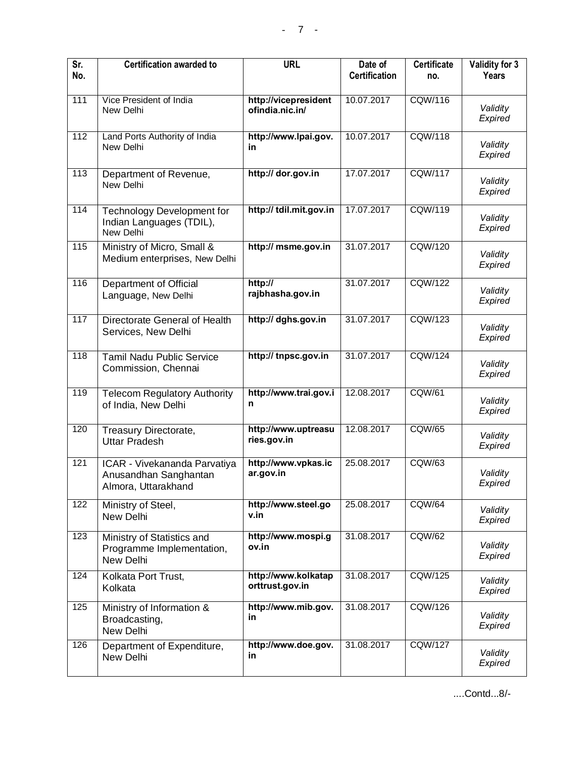| $\overline{\mathsf{Sr.}}$<br>No. | <b>Certification awarded to</b>                                              | <b>URL</b>                              | Date of<br><b>Certification</b> | <b>Certificate</b><br>no. | Validity for 3<br>Years |
|----------------------------------|------------------------------------------------------------------------------|-----------------------------------------|---------------------------------|---------------------------|-------------------------|
|                                  |                                                                              |                                         |                                 |                           |                         |
| 111                              | Vice President of India<br>New Delhi                                         | http://vicepresident<br>ofindia.nic.in/ | 10.07.2017                      | <b>CQW/116</b>            | Validity<br>Expired     |
| 112                              | Land Ports Authority of India<br>New Delhi                                   | http://www.lpai.gov.<br>in              | 10.07.2017                      | <b>CQW/118</b>            | Validity<br>Expired     |
| 113                              | Department of Revenue,<br>New Delhi                                          | http:// dor.gov.in                      | 17.07.2017                      | <b>CQW/117</b>            | Validity<br>Expired     |
| 114                              | <b>Technology Development for</b><br>Indian Languages (TDIL),<br>New Delhi   | http:// tdil.mit.gov.in                 | 17.07.2017                      | CQW/119                   | Validity<br>Expired     |
| $\overline{115}$                 | Ministry of Micro, Small &<br>Medium enterprises, New Delhi                  | http:// msme.gov.in                     | 31.07.2017                      | <b>CQW/120</b>            | Validity<br>Expired     |
| 116                              | Department of Official<br>Language, New Delhi                                | http://<br>rajbhasha.gov.in             | 31.07.2017                      | <b>CQW/122</b>            | Validity<br>Expired     |
| 117                              | Directorate General of Health<br>Services, New Delhi                         | http:// dghs.gov.in                     | 31.07.2017                      | <b>CQW/123</b>            | Validity<br>Expired     |
| 118                              | <b>Tamil Nadu Public Service</b><br>Commission, Chennai                      | http:// tnpsc.gov.in                    | 31.07.2017                      | <b>CQW/124</b>            | Validity<br>Expired     |
| $\overline{119}$                 | <b>Telecom Regulatory Authority</b><br>of India, New Delhi                   | http://www.trai.gov.i<br>n              | 12.08.2017                      | <b>CQW/61</b>             | Validity<br>Expired     |
| 120                              | Treasury Directorate,<br><b>Uttar Pradesh</b>                                | http://www.uptreasu<br>ries.gov.in      | 12.08.2017                      | <b>CQW/65</b>             | Validity<br>Expired     |
| 121                              | ICAR - Vivekananda Parvatiya<br>Anusandhan Sanghantan<br>Almora, Uttarakhand | http://www.vpkas.ic<br>ar.gov.in        | 25.08.2017                      | <b>CQW/63</b>             | Validity<br>Expired     |
| 122                              | Ministry of Steel,<br>New Delhi                                              | http://www.steel.go<br>v.in             | 25.08.2017                      | <b>CQW/64</b>             | Validity<br>Expired     |
| 123                              | Ministry of Statistics and<br>Programme Implementation,<br>New Delhi         | http://www.mospi.g<br>ov.in             | 31.08.2017                      | <b>CQW/62</b>             | Validity<br>Expired     |
| 124                              | Kolkata Port Trust,<br>Kolkata                                               | http://www.kolkatap<br>orttrust.gov.in  | 31.08.2017                      | <b>CQW/125</b>            | Validity<br>Expired     |
| 125                              | Ministry of Information &<br>Broadcasting,<br>New Delhi                      | http://www.mib.gov.<br>in               | 31.08.2017                      | <b>CQW/126</b>            | Validity<br>Expired     |
| 126                              | Department of Expenditure,<br>New Delhi                                      | http://www.doe.gov.<br>in               | 31.08.2017                      | <b>CQW/127</b>            | Validity<br>Expired     |

....Contd...8/-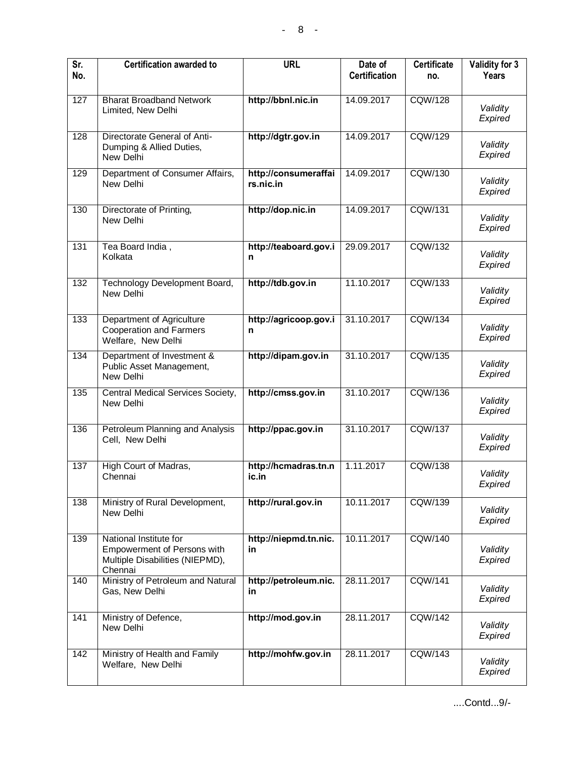| Sr.<br>No.       | <b>Certification awarded to</b>                                                                     | <b>URL</b>                        | Date of<br><b>Certification</b> | <b>Certificate</b><br>no. | Validity for 3<br>Years |
|------------------|-----------------------------------------------------------------------------------------------------|-----------------------------------|---------------------------------|---------------------------|-------------------------|
| 127              | <b>Bharat Broadband Network</b><br>Limited, New Delhi                                               | http://bbnl.nic.in                | 14.09.2017                      | <b>CQW/128</b>            | Validity<br>Expired     |
| 128              | Directorate General of Anti-<br>Dumping & Allied Duties,<br>New Delhi                               | http://dgtr.gov.in                | 14.09.2017                      | <b>CQW/129</b>            | Validity<br>Expired     |
| 129              | Department of Consumer Affairs,<br>New Delhi                                                        | http://consumeraffai<br>rs.nic.in | 14.09.2017                      | <b>CQW/130</b>            | Validity<br>Expired     |
| 130              | Directorate of Printing,<br>New Delhi                                                               | http://dop.nic.in                 | 14.09.2017                      | <b>CQW/131</b>            | Validity<br>Expired     |
| 131              | Tea Board India,<br>Kolkata                                                                         | http://teaboard.gov.i<br>n        | 29.09.2017                      | <b>CQW/132</b>            | Validity<br>Expired     |
| 132              | Technology Development Board,<br>New Delhi                                                          | http://tdb.gov.in                 | 11.10.2017                      | <b>CQW/133</b>            | Validity<br>Expired     |
| 133              | <b>Department of Agriculture</b><br><b>Cooperation and Farmers</b><br>Welfare, New Delhi            | http://agricoop.gov.i<br>n        | 31.10.2017                      | CQW/134                   | Validity<br>Expired     |
| 134              | Department of Investment &<br>Public Asset Management,<br>New Delhi                                 | http://dipam.gov.in               | 31.10.2017                      | <b>CQW/135</b>            | Validity<br>Expired     |
| 135              | Central Medical Services Society,<br>New Delhi                                                      | http://cmss.gov.in                | 31.10.2017                      | <b>CQW/136</b>            | Validity<br>Expired     |
| 136              | Petroleum Planning and Analysis<br>Cell, New Delhi                                                  | http://ppac.gov.in                | 31.10.2017                      | <b>CQW/137</b>            | Validity<br>Expired     |
| 137              | High Court of Madras,<br>Chennai                                                                    | http://hcmadras.tn.n<br>ic.in     | 1.11.2017                       | <b>CQW/138</b>            | Validity<br>Expired     |
| 138              | Ministry of Rural Development,<br>New Delhi                                                         | http://rural.gov.in               | 10.11.2017                      | <b>CQW/139</b>            | Validity<br>Expired     |
| 139              | National Institute for<br>Empowerment of Persons with<br>Multiple Disabilities (NIEPMD),<br>Chennai | http://niepmd.tn.nic.<br>in       | 10.11.2017                      | <b>CQW/140</b>            | Validity<br>Expired     |
| 140              | Ministry of Petroleum and Natural<br>Gas, New Delhi                                                 | http://petroleum.nic.<br>in       | 28.11.2017                      | CQW/141                   | Validity<br>Expired     |
| 141              | Ministry of Defence,<br>New Delhi                                                                   | http://mod.gov.in                 | 28.11.2017                      | <b>CQW/142</b>            | Validity<br>Expired     |
| $\overline{142}$ | Ministry of Health and Family<br>Welfare, New Delhi                                                 | http://mohfw.gov.in               | 28.11.2017                      | <b>CQW/143</b>            | Validity<br>Expired     |

....Contd...9/-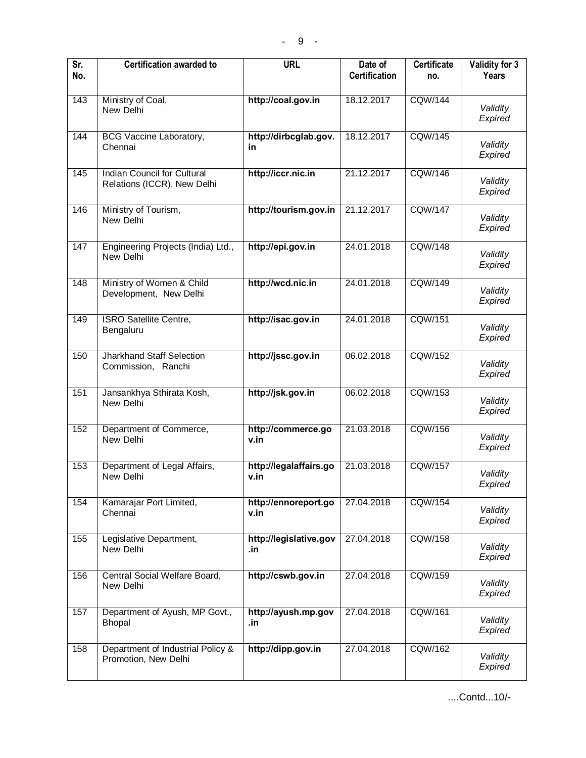| $\overline{\mathsf{Sr.}}$<br>No. | <b>Certification awarded to</b>                                   | <b>URL</b>                     | Date of<br><b>Certification</b> | <b>Certificate</b><br>no. | Validity for 3<br>Years |
|----------------------------------|-------------------------------------------------------------------|--------------------------------|---------------------------------|---------------------------|-------------------------|
| 143                              | Ministry of Coal,<br>New Delhi                                    | http://coal.gov.in             | 18.12.2017                      | <b>CQW/144</b>            | Validity<br>Expired     |
| 144                              | <b>BCG Vaccine Laboratory,</b><br>Chennai                         | http://dirbcglab.gov.<br>in    | 18.12.2017                      | <b>CQW/145</b>            | Validity<br>Expired     |
| 145                              | <b>Indian Council for Cultural</b><br>Relations (ICCR), New Delhi | http://iccr.nic.in             | 21.12.2017                      | <b>CQW/146</b>            | Validity<br>Expired     |
| 146                              | Ministry of Tourism,<br>New Delhi                                 | http://tourism.gov.in          | 21.12.2017                      | <b>CQW/147</b>            | Validity<br>Expired     |
| $\overline{147}$                 | Engineering Projects (India) Ltd.,<br>New Delhi                   | http://epi.gov.in              | 24.01.2018                      | <b>CQW/148</b>            | Validity<br>Expired     |
| 148                              | Ministry of Women & Child<br>Development, New Delhi               | http://wcd.nic.in              | 24.01.2018                      | <b>CQW/149</b>            | Validity<br>Expired     |
| 149                              | <b>ISRO Satellite Centre,</b><br>Bengaluru                        | http://isac.gov.in             | 24.01.2018                      | <b>CQW/151</b>            | Validity<br>Expired     |
| 150                              | <b>Jharkhand Staff Selection</b><br>Commission, Ranchi            | http://jssc.gov.in             | 06.02.2018                      | <b>CQW/152</b>            | Validity<br>Expired     |
| 151                              | Jansankhya Sthirata Kosh,<br>New Delhi                            | http://jsk.gov.in              | 06.02.2018                      | <b>CQW/153</b>            | Validity<br>Expired     |
| 152                              | Department of Commerce,<br>New Delhi                              | http://commerce.go<br>v.in     | 21.03.2018                      | <b>CQW/156</b>            | Validity<br>Expired     |
| 153                              | Department of Legal Affairs,<br>New Delhi                         | http://legalaffairs.go<br>v.in | 21.03.2018                      | CQW/157                   | Validity<br>Expired     |
| 154                              | Kamarajar Port Limited,<br>Chennai                                | http://ennoreport.go<br>v.in   | 27.04.2018                      | <b>CQW/154</b>            | Validity<br>Expired     |
| 155                              | Legislative Department,<br>New Delhi                              | http://legislative.gov<br>.in  | 27.04.2018                      | <b>CQW/158</b>            | Validity<br>Expired     |
| 156                              | Central Social Welfare Board,<br>New Delhi                        | http://cswb.gov.in             | 27.04.2018                      | <b>CQW/159</b>            | Validity<br>Expired     |
| 157                              | Department of Ayush, MP Govt.,<br><b>Bhopal</b>                   | http://ayush.mp.gov<br>.in     | 27.04.2018                      | <b>CQW/161</b>            | Validity<br>Expired     |
| 158                              | Department of Industrial Policy &<br>Promotion, New Delhi         | http://dipp.gov.in             | 27.04.2018                      | <b>CQW/162</b>            | Validity<br>Expired     |

....Contd...10/-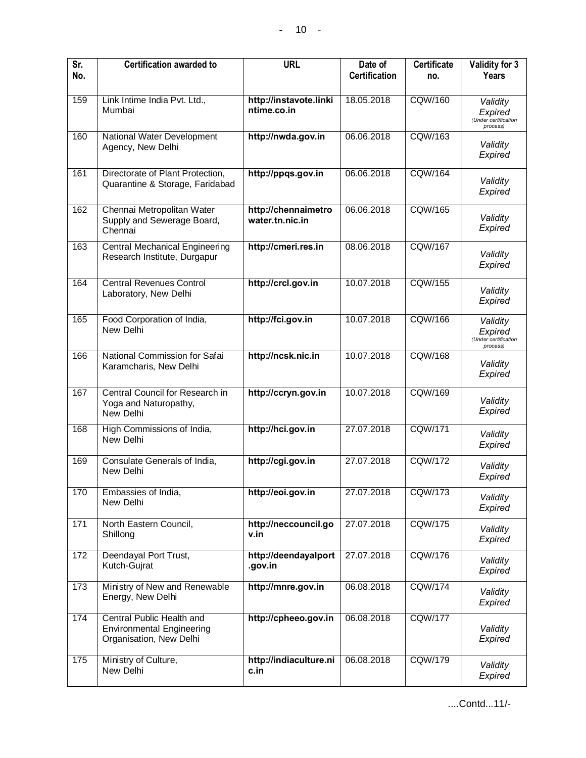| Sr.<br>No. | <b>Certification awarded to</b>                                                          | <b>URL</b>                             | Date of<br><b>Certification</b> | <b>Certificate</b><br>no. | Validity for 3<br>Years                                 |
|------------|------------------------------------------------------------------------------------------|----------------------------------------|---------------------------------|---------------------------|---------------------------------------------------------|
| 159        | Link Intime India Pvt. Ltd.,<br>Mumbai                                                   | http://instavote.linki<br>ntime.co.in  | 18.05.2018                      | <b>CQW/160</b>            | Validity<br>Expired<br>(Under certification<br>process) |
| 160        | National Water Development<br>Agency, New Delhi                                          | http://nwda.gov.in                     | 06.06.2018                      | <b>CQW/163</b>            | Validity<br>Expired                                     |
| 161        | Directorate of Plant Protection,<br>Quarantine & Storage, Faridabad                      | http://ppqs.gov.in                     | 06.06.2018                      | <b>CQW/164</b>            | Validity<br>Expired                                     |
| 162        | Chennai Metropolitan Water<br>Supply and Sewerage Board,<br>Chennai                      | http://chennaimetro<br>water.tn.nic.in | 06.06.2018                      | <b>CQW/165</b>            | Validity<br>Expired                                     |
| 163        | <b>Central Mechanical Engineering</b><br>Research Institute, Durgapur                    | http://cmeri.res.in                    | 08.06.2018                      | <b>CQW/167</b>            | Validity<br>Expired                                     |
| 164        | <b>Central Revenues Control</b><br>Laboratory, New Delhi                                 | http://crcl.gov.in                     | 10.07.2018                      | <b>CQW/155</b>            | Validity<br>Expired                                     |
| 165        | Food Corporation of India,<br>New Delhi                                                  | http://fci.gov.in                      | 10.07.2018                      | <b>CQW/166</b>            | Validity<br>Expired<br>(Under certification<br>process) |
| 166        | National Commission for Safai<br>Karamcharis, New Delhi                                  | http://ncsk.nic.in                     | 10.07.2018                      | <b>CQW/168</b>            | Validity<br>Expired                                     |
| 167        | Central Council for Research in<br>Yoga and Naturopathy,<br>New Delhi                    | http://ccryn.gov.in                    | 10.07.2018                      | <b>CQW/169</b>            | Validity<br>Expired                                     |
| 168        | High Commissions of India,<br>New Delhi                                                  | http://hci.gov.in                      | 27.07.2018                      | <b>CQW/171</b>            | Validity<br>Expired                                     |
| 169        | Consulate Generals of India,<br>New Delhi                                                | http://cgi.gov.in                      | 27.07.2018                      | <b>CQW/172</b>            | Validity<br>Expired                                     |
| 170        | Embassies of India,<br>New Delhi                                                         | http://eoi.gov.in                      | 27.07.2018                      | <b>CQW/173</b>            | Validity<br>Expired                                     |
| 171        | North Eastern Council,<br>Shillong                                                       | http://neccouncil.go<br>v.in           | 27.07.2018                      | <b>CQW/175</b>            | Validity<br>Expired                                     |
| 172        | Deendayal Port Trust,<br>Kutch-Gujrat                                                    | http://deendayalport<br>.gov.in        | 27.07.2018                      | <b>CQW/176</b>            | Validity<br>Expired                                     |
| 173        | Ministry of New and Renewable<br>Energy, New Delhi                                       | http://mnre.gov.in                     | 06.08.2018                      | <b>CQW/174</b>            | Validity<br>Expired                                     |
| 174        | Central Public Health and<br><b>Environmental Engineering</b><br>Organisation, New Delhi | http://cpheeo.gov.in                   | 06.08.2018                      | <b>CQW/177</b>            | Validity<br>Expired                                     |
| 175        | Ministry of Culture,<br>New Delhi                                                        | http://indiaculture.ni<br>c.in         | 06.08.2018                      | <b>CQW/179</b>            | Validity<br>Expired                                     |

....Contd...11/-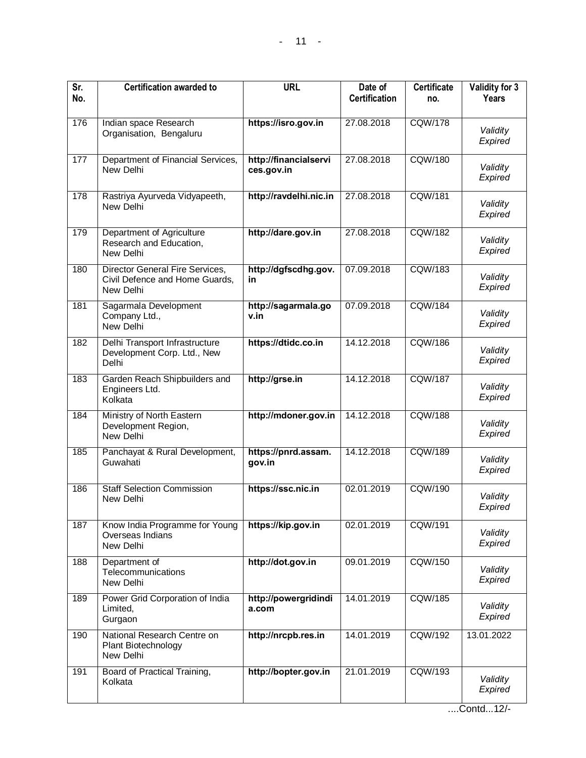| <b>Certification awarded to</b>                                                | <b>URL</b>                          | Date of<br><b>Certification</b> | <b>Certificate</b><br>no. | Validity for 3<br>Years          |
|--------------------------------------------------------------------------------|-------------------------------------|---------------------------------|---------------------------|----------------------------------|
| Indian space Research<br>Organisation, Bengaluru                               | https://isro.gov.in                 | 27.08.2018                      | <b>CQW/178</b>            | Validity<br>Expired              |
| Department of Financial Services,<br>New Delhi                                 | http://financialservi<br>ces.gov.in | 27.08.2018                      | <b>CQW/180</b>            | Validity<br>Expired              |
| Rastriya Ayurveda Vidyapeeth,<br>New Delhi                                     | http://ravdelhi.nic.in              | 27.08.2018                      | CQW/181                   | Validity<br>Expired              |
| Department of Agriculture<br>Research and Education,<br>New Delhi              | http://dare.gov.in                  | 27.08.2018                      | <b>CQW/182</b>            | Validity<br>Expired              |
| Director General Fire Services,<br>Civil Defence and Home Guards,<br>New Delhi | http://dgfscdhg.gov.<br>in          | 07.09.2018                      |                           | Validity<br>Expired              |
| Sagarmala Development<br>Company Ltd.,<br>New Delhi                            | http://sagarmala.go<br>v.in         | 07.09.2018                      | <b>CQW/184</b>            | Validity<br>Expired              |
| Delhi Transport Infrastructure<br>Development Corp. Ltd., New<br>Delhi         | https://dtidc.co.in                 | 14.12.2018                      |                           | Validity<br>Expired              |
| Garden Reach Shipbuilders and<br>Engineers Ltd.<br>Kolkata                     | http://grse.in                      | 14.12.2018                      | <b>CQW/187</b>            | Validity<br>Expired              |
| Ministry of North Eastern<br>Development Region,<br>New Delhi                  | http://mdoner.gov.in                | 14.12.2018                      | <b>CQW/188</b>            | Validity<br>Expired              |
| Panchayat & Rural Development,<br>Guwahati                                     | https://pnrd.assam.<br>gov.in       | 14.12.2018                      | <b>CQW/189</b>            | Validity<br>Expired              |
| <b>Staff Selection Commission</b><br>New Delhi                                 | https://ssc.nic.in                  | 02.01.2019                      | <b>CQW/190</b>            | Validity<br>Expired              |
| Know India Programme for Young<br>Overseas Indians<br>New Delhi                | https://kip.gov.in                  | 02.01.2019                      | <b>CQW/191</b>            | Validity<br>Expired              |
| Department of<br>Telecommunications<br>New Delhi                               | http://dot.gov.in                   | 09.01.2019                      | <b>CQW/150</b>            | Validity<br>Expired              |
| Power Grid Corporation of India<br>Limited,<br>Gurgaon                         | http://powergridindi<br>a.com       | 14.01.2019                      | <b>CQW/185</b>            | Validity<br>Expired              |
| National Research Centre on<br>Plant Biotechnology<br>New Delhi                | http://nrcpb.res.in                 | 14.01.2019                      | CQW/192                   | 13.01.2022                       |
| Board of Practical Training,<br>Kolkata                                        | http://bopter.gov.in                | 21.01.2019                      | <b>CQW/193</b>            | Validity<br>Expired              |
|                                                                                |                                     |                                 |                           | <b>CQW/183</b><br><b>CQW/186</b> |

....Contd...12/-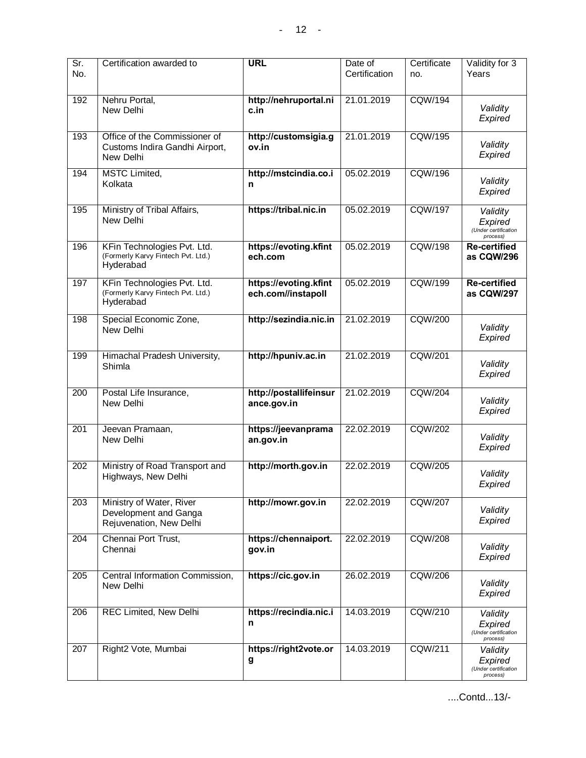| Sr.<br>No.       | Certification awarded to                                                       | <b>URL</b>                                  | Date of<br>Certification | Certificate<br>no. | Validity for 3<br>Years                                 |
|------------------|--------------------------------------------------------------------------------|---------------------------------------------|--------------------------|--------------------|---------------------------------------------------------|
| 192              | Nehru Portal,<br>New Delhi                                                     | http://nehruportal.ni<br>c.in               | 21.01.2019               | <b>CQW/194</b>     | Validity<br>Expired                                     |
| 193              | Office of the Commissioner of<br>Customs Indira Gandhi Airport,<br>New Delhi   | http://customsigia.g<br>ov.in               | 21.01.2019               | <b>CQW/195</b>     | Validity<br>Expired                                     |
| 194              | <b>MSTC</b> Limited,<br>Kolkata                                                | http://mstcindia.co.i<br>n                  | 05.02.2019               | <b>CQW/196</b>     | Validity<br>Expired                                     |
| 195              | Ministry of Tribal Affairs,<br>New Delhi                                       | https://tribal.nic.in                       | 05.02.2019               | <b>CQW/197</b>     | Validity<br>Expired<br>(Under certification<br>process) |
| 196              | KFin Technologies Pvt. Ltd.<br>(Formerly Karvy Fintech Pvt. Ltd.)<br>Hyderabad | https://evoting.kfint<br>ech.com            | 05.02.2019               | <b>CQW/198</b>     | <b>Re-certified</b><br>as CQW/296                       |
| 197              | KFin Technologies Pvt. Ltd.<br>(Formerly Karvy Fintech Pvt. Ltd.)<br>Hyderabad | https://evoting.kfint<br>ech.com//instapoll | 05.02.2019               | <b>CQW/199</b>     | <b>Re-certified</b><br>as CQW/297                       |
| 198              | Special Economic Zone,<br>New Delhi                                            | http://sezindia.nic.in                      | 21.02.2019               | <b>CQW/200</b>     | Validity<br>Expired                                     |
| 199              | Himachal Pradesh University,<br>Shimla                                         | http://hpuniv.ac.in                         | 21.02.2019               | <b>CQW/201</b>     | Validity<br>Expired                                     |
| 200              | Postal Life Insurance,<br>New Delhi                                            | http://postallifeinsur<br>ance.gov.in       | 21.02.2019               | <b>CQW/204</b>     | Validity<br>Expired                                     |
| $\overline{201}$ | Jeevan Pramaan,<br>New Delhi                                                   | https://jeevanprama<br>an.gov.in            | 22.02.2019               | <b>CQW/202</b>     | Validity<br>Expired                                     |
| 202              | Ministry of Road Transport and<br>Highways, New Delhi                          | http://morth.gov.in                         | 22.02.2019               | <b>CQW/205</b>     | Validity<br>Expired                                     |
| $\overline{203}$ | Ministry of Water, River<br>Development and Ganga<br>Rejuvenation, New Delhi   | http://mowr.gov.in                          | 22.02.2019               | <b>CQW/207</b>     | Validity<br>Expired                                     |
| 204              | Chennai Port Trust,<br>Chennai                                                 | https://chennaiport.<br>gov.in              | 22.02.2019               | <b>CQW/208</b>     | Validity<br>Expired                                     |
| 205              | Central Information Commission,<br>New Delhi                                   | https://cic.gov.in                          | 26.02.2019               | CQW/206            | Validity<br>Expired                                     |
| 206              | REC Limited, New Delhi                                                         | https://recindia.nic.i<br>n                 | 14.03.2019               | <b>CQW/210</b>     | Validity<br>Expired<br>(Under certification<br>process) |
| 207              | Right2 Vote, Mumbai                                                            | https://right2vote.or<br>g                  | 14.03.2019               | <b>CQW/211</b>     | Validity<br>Expired<br>(Under certification<br>process) |

....Contd...13/-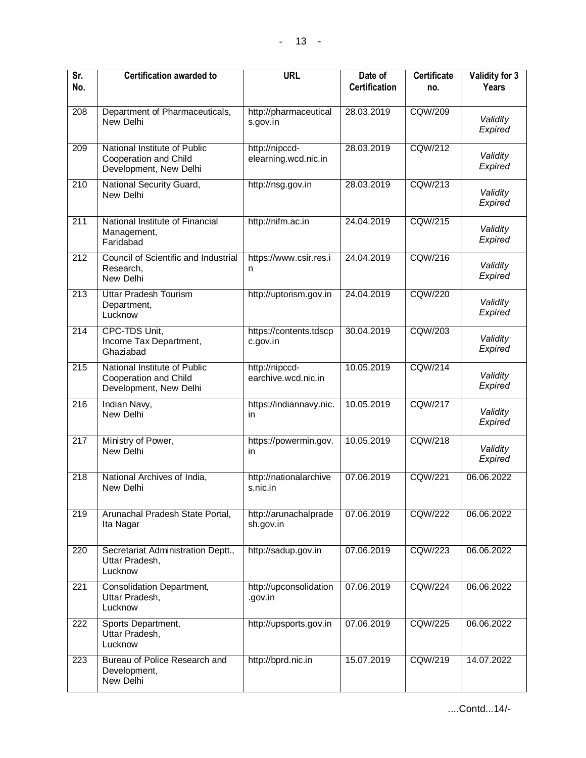| Sr.<br>No.       | <b>Certification awarded to</b>                                                 | <b>URL</b>                             | Date of<br><b>Certification</b> | <b>Certificate</b><br>no. | Validity for 3<br>Years |
|------------------|---------------------------------------------------------------------------------|----------------------------------------|---------------------------------|---------------------------|-------------------------|
| 208              | Department of Pharmaceuticals,<br>New Delhi                                     | http://pharmaceutical<br>s.gov.in      | 28.03.2019                      | <b>CQW/209</b>            | Validity<br>Expired     |
| $\overline{209}$ | National Institute of Public<br>Cooperation and Child<br>Development, New Delhi | http://nipccd-<br>elearning.wcd.nic.in | 28.03.2019                      | <b>CQW/212</b>            | Validity<br>Expired     |
| 210              | National Security Guard,<br>New Delhi                                           | http://nsg.gov.in                      | 28.03.2019                      | CQW/213                   | Validity<br>Expired     |
| 211              | National Institute of Financial<br>Management,<br>Faridabad                     | http://nifm.ac.in                      | 24.04.2019                      | <b>CQW/215</b>            | Validity<br>Expired     |
| 212              | Council of Scientific and Industrial<br>Research,<br>New Delhi                  | https://www.csir.res.i<br>n            | 24.04.2019                      | <b>CQW/216</b>            | Validity<br>Expired     |
| $\overline{213}$ | <b>Uttar Pradesh Tourism</b><br>Department,<br>Lucknow                          | http://uptorism.gov.in                 | 24.04.2019                      | <b>CQW/220</b>            | Validity<br>Expired     |
| $\overline{214}$ | CPC-TDS Unit,<br>Income Tax Department,<br>Ghaziabad                            | https://contents.tdscp<br>c.gov.in     | 30.04.2019                      | <b>CQW/203</b>            | Validity<br>Expired     |
| $\overline{215}$ | National Institute of Public<br>Cooperation and Child<br>Development, New Delhi | http://nipccd-<br>earchive.wcd.nic.in  | 10.05.2019                      | <b>CQW/214</b>            | Validity<br>Expired     |
| $\overline{216}$ | Indian Navy,<br>New Delhi                                                       | https://indiannavy.nic.<br><i>in</i>   | 10.05.2019                      | <b>CQW/217</b>            | Validity<br>Expired     |
| $\overline{217}$ | Ministry of Power,<br>New Delhi                                                 | https://powermin.gov.<br>in.           | 10.05.2019                      | <b>CQW/218</b>            | Validity<br>Expired     |
| $\overline{218}$ | National Archives of India,<br>New Delhi                                        | http://nationalarchive<br>s.nic.in     | 07.06.2019                      | <b>CQW/221</b>            | 06.06.2022              |
| $\overline{219}$ | Arunachal Pradesh State Portal,<br>Ita Nagar                                    | http://arunachalprade<br>sh.gov.in     | 07.06.2019                      | <b>CQW/222</b>            | 06.06.2022              |
| 220              | Secretariat Administration Deptt.,<br>Uttar Pradesh,<br>Lucknow                 | http://sadup.gov.in                    | 07.06.2019                      | <b>CQW/223</b>            | 06.06.2022              |
| 221              | Consolidation Department,<br>Uttar Pradesh,<br>Lucknow                          | http://upconsolidation<br>.gov.in      | 07.06.2019                      | <b>CQW/224</b>            | 06.06.2022              |
| $\overline{222}$ | Sports Department,<br>Uttar Pradesh,<br>Lucknow                                 | http://upsports.gov.in                 | 07.06.2019                      | <b>CQW/225</b>            | 06.06.2022              |
| 223              | Bureau of Police Research and<br>Development,<br>New Delhi                      | http://bprd.nic.in                     | 15.07.2019                      | <b>CQW/219</b>            | 14.07.2022              |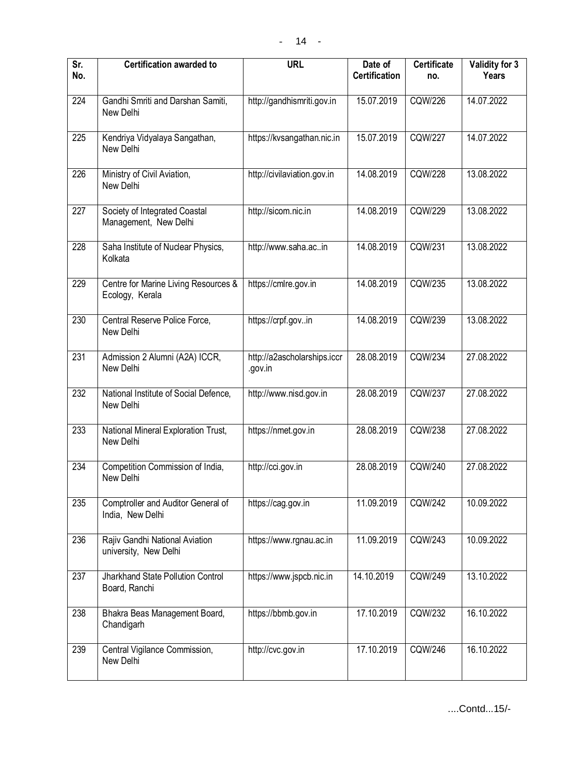| $\overline{\text{Sr}}$<br>No. | <b>Certification awarded to</b>                         | <b>URL</b>                             | Date of<br><b>Certification</b> | <b>Certificate</b><br>no. | Validity for 3<br>Years |
|-------------------------------|---------------------------------------------------------|----------------------------------------|---------------------------------|---------------------------|-------------------------|
| 224                           | Gandhi Smriti and Darshan Samiti,<br>New Delhi          | http://gandhismriti.gov.in             | 15.07.2019                      | <b>CQW/226</b>            | 14.07.2022              |
| 225                           | Kendriya Vidyalaya Sangathan,<br>New Delhi              | https://kvsangathan.nic.in             | 15.07.2019                      | <b>CQW/227</b>            | 14.07.2022              |
| 226                           | Ministry of Civil Aviation,<br>New Delhi                | http://civilaviation.gov.in            | 14.08.2019                      | <b>CQW/228</b>            | 13.08.2022              |
| 227                           | Society of Integrated Coastal<br>Management, New Delhi  | http://sicom.nic.in                    | 14.08.2019                      | CQW/229                   | 13.08.2022              |
| 228                           | Saha Institute of Nuclear Physics,<br>Kolkata           | http://www.saha.acin                   | 14.08.2019                      | <b>CQW/231</b>            | 13.08.2022              |
| 229                           | Centre for Marine Living Resources &<br>Ecology, Kerala | https://cmlre.gov.in                   | 14.08.2019                      | <b>CQW/235</b>            | 13.08.2022              |
| 230                           | Central Reserve Police Force,<br>New Delhi              | https://crpf.govin                     | 14.08.2019                      | <b>CQW/239</b>            | 13.08.2022              |
| 231                           | Admission 2 Alumni (A2A) ICCR,<br>New Delhi             | http://a2ascholarships.iccr<br>.gov.in | 28.08.2019                      | CQW/234                   | 27.08.2022              |
| 232                           | National Institute of Social Defence,<br>New Delhi      | http://www.nisd.gov.in                 | 28.08.2019                      | <b>CQW/237</b>            | 27.08.2022              |
| $\overline{233}$              | National Mineral Exploration Trust,<br>New Delhi        | https://nmet.gov.in                    | 28.08.2019                      | CQW/238                   | 27.08.2022              |
| 234                           | Competition Commission of India,<br>New Delhi           | http://cci.gov.in                      | 28.08.2019                      | CQW/240                   | 27.08.2022              |
| 235                           | Comptroller and Auditor General of<br>India, New Delhi  | https://cag.gov.in                     | 11.09.2019                      | <b>CQW/242</b>            | 10.09.2022              |
| 236                           | Rajiv Gandhi National Aviation<br>university, New Delhi | https://www.rgnau.ac.in                | 11.09.2019                      | <b>CQW/243</b>            | 10.09.2022              |
| 237                           | Jharkhand State Pollution Control<br>Board, Ranchi      | https://www.jspcb.nic.in               | 14.10.2019                      | CQW/249                   | 13.10.2022              |
| 238                           | Bhakra Beas Management Board,<br>Chandigarh             | https://bbmb.gov.in                    | 17.10.2019                      | <b>CQW/232</b>            | 16.10.2022              |
| 239                           | Central Vigilance Commission,<br>New Delhi              | http://cvc.gov.in                      | 17.10.2019                      | <b>CQW/246</b>            | 16.10.2022              |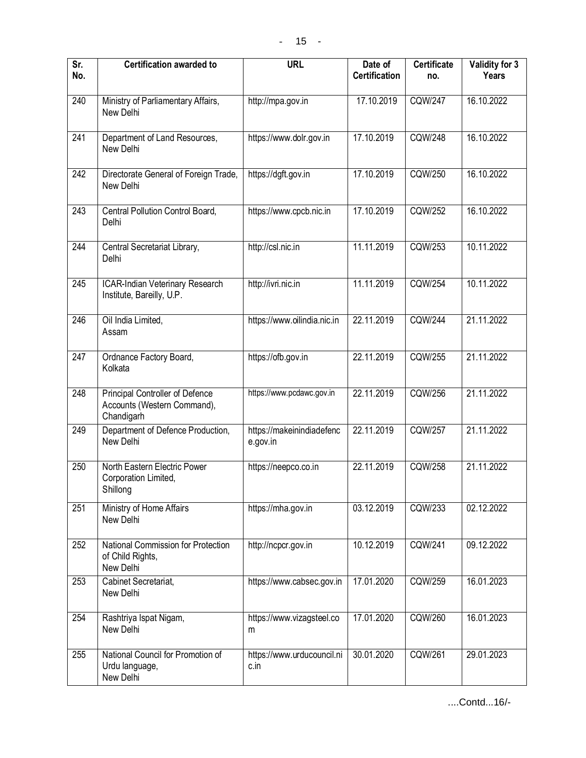| $\overline{\mathsf{Sr.}}$<br>No. | <b>Certification awarded to</b>                                              | <b>URL</b>                            | Date of<br><b>Certification</b> | <b>Certificate</b><br>no. | Validity for 3<br>Years |
|----------------------------------|------------------------------------------------------------------------------|---------------------------------------|---------------------------------|---------------------------|-------------------------|
| 240                              | Ministry of Parliamentary Affairs,<br>New Delhi                              | http://mpa.gov.in                     | 17.10.2019                      | <b>CQW/247</b>            | 16.10.2022              |
| 241                              | Department of Land Resources,<br>New Delhi                                   | https://www.dolr.gov.in               | 17.10.2019                      | <b>CQW/248</b>            | 16.10.2022              |
| 242                              | Directorate General of Foreign Trade,<br>New Delhi                           | https://dgft.gov.in                   | 17.10.2019                      | CQW/250                   | 16.10.2022              |
| 243                              | Central Pollution Control Board,<br>Delhi                                    | https://www.cpcb.nic.in               | 17.10.2019                      | <b>CQW/252</b>            | 16.10.2022              |
| 244                              | Central Secretariat Library,<br>Delhi                                        | http://csl.nic.in                     | 11.11.2019                      | <b>CQW/253</b>            | 10.11.2022              |
| $\overline{245}$                 | ICAR-Indian Veterinary Research<br>Institute, Bareilly, U.P.                 | http://ivri.nic.in                    | 11.11.2019                      | <b>CQW/254</b>            | 10.11.2022              |
| 246                              | Oil India Limited,<br>Assam                                                  | https://www.oilindia.nic.in           | 22.11.2019                      | <b>CQW/244</b>            | 21.11.2022              |
| 247                              | Ordnance Factory Board,<br>Kolkata                                           | https://ofb.gov.in                    | 22.11.2019                      | <b>CQW/255</b>            | 21.11.2022              |
| 248                              | Principal Controller of Defence<br>Accounts (Western Command),<br>Chandigarh | https://www.pcdawc.gov.in             | 22.11.2019                      | <b>CQW/256</b>            | 21.11.2022              |
| 249                              | Department of Defence Production,<br>New Delhi                               | https://makeinindiadefenc<br>e.gov.in | 22.11.2019                      | <b>CQW/257</b>            | 21.11.2022              |
| 250                              | North Eastern Electric Power<br>Corporation Limited,<br>Shillong             | https://neepco.co.in                  | 22.11.2019                      | <b>CQW/258</b>            | 21.11.2022              |
| 251                              | Ministry of Home Affairs<br>New Delhi                                        | https://mha.gov.in                    | 03.12.2019                      | CQW/233                   | 02.12.2022              |
| 252                              | National Commission for Protection<br>of Child Rights,<br>New Delhi          | http://ncpcr.gov.in                   | 10.12.2019                      | CQW/241                   | 09.12.2022              |
| 253                              | Cabinet Secretariat,<br>New Delhi                                            | https://www.cabsec.gov.in             | 17.01.2020                      | <b>CQW/259</b>            | 16.01.2023              |
| 254                              | Rashtriya Ispat Nigam,<br>New Delhi                                          | https://www.vizagsteel.co<br>m        | 17.01.2020                      | <b>CQW/260</b>            | 16.01.2023              |
| 255                              | National Council for Promotion of<br>Urdu language,<br>New Delhi             | https://www.urducouncil.ni<br>c.in    | 30.01.2020                      | CQW/261                   | 29.01.2023              |

....Contd...16/-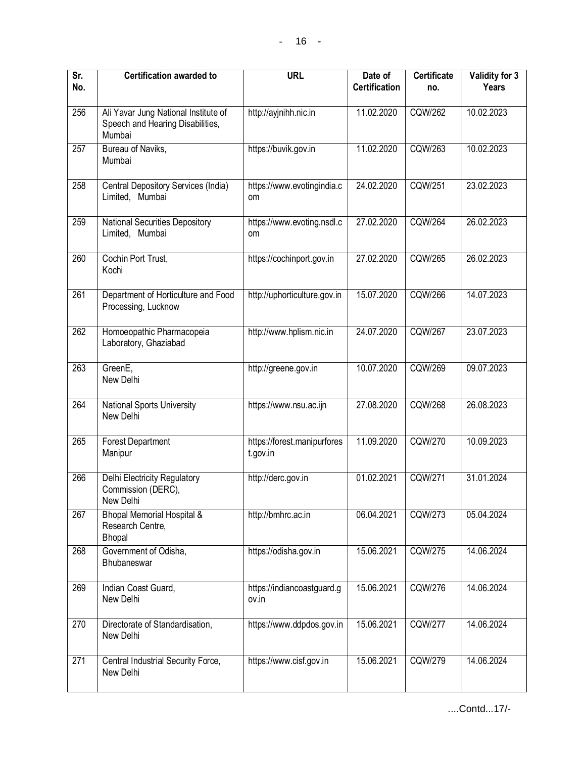| Sr.<br>No.       | <b>Certification awarded to</b>                                                    | <b>URL</b>                              | Date of<br><b>Certification</b> | <b>Certificate</b><br>no. | Validity for 3<br>Years |
|------------------|------------------------------------------------------------------------------------|-----------------------------------------|---------------------------------|---------------------------|-------------------------|
| 256              | Ali Yavar Jung National Institute of<br>Speech and Hearing Disabilities,<br>Mumbai | http://ayjnihh.nic.in                   | 11.02.2020                      | CQW/262                   | 10.02.2023              |
| 257              | Bureau of Naviks,<br>Mumbai                                                        | https://buvik.gov.in                    | 11.02.2020                      | <b>CQW/263</b>            | 10.02.2023              |
| 258              | Central Depository Services (India)<br>Limited, Mumbai                             | https://www.evotingindia.c<br>om        | 24.02.2020                      | <b>CQW/251</b>            | 23.02.2023              |
| 259              | <b>National Securities Depository</b><br>Limited, Mumbai                           | https://www.evoting.nsdl.c<br>om        | 27.02.2020                      | <b>CQW/264</b>            | 26.02.2023              |
| 260              | Cochin Port Trust,<br>Kochi                                                        | https://cochinport.gov.in               | 27.02.2020                      | <b>CQW/265</b>            | 26.02.2023              |
| $\overline{261}$ | Department of Horticulture and Food<br>Processing, Lucknow                         | http://uphorticulture.gov.in            | 15.07.2020                      | <b>CQW/266</b>            | 14.07.2023              |
| 262              | Homoeopathic Pharmacopeia<br>Laboratory, Ghaziabad                                 | http://www.hplism.nic.in                | 24.07.2020                      | <b>CQW/267</b>            | 23.07.2023              |
| 263              | GreenE,<br>New Delhi                                                               | http://greene.gov.in                    | 10.07.2020                      | <b>CQW/269</b>            | 09.07.2023              |
| 264              | <b>National Sports University</b><br>New Delhi                                     | https://www.nsu.ac.ijn                  | 27.08.2020                      | <b>CQW/268</b>            | 26.08.2023              |
| 265              | <b>Forest Department</b><br>Manipur                                                | https://forest.manipurfores<br>t.gov.in | 11.09.2020                      | CQW/270                   | 10.09.2023              |
| 266              | Delhi Electricity Regulatory<br>Commission (DERC),<br>New Delhi                    | http://derc.gov.in                      | 01.02.2021                      | <b>CQW/271</b>            | 31.01.2024              |
| 267              | <b>Bhopal Memorial Hospital &amp;</b><br>Research Centre,<br>Bhopal                | http://bmhrc.ac.in                      | 06.04.2021                      | CQW/273                   | 05.04.2024              |
| 268              | Government of Odisha,<br><b>Bhubaneswar</b>                                        | https://odisha.gov.in                   | 15.06.2021                      | <b>CQW/275</b>            | 14.06.2024              |
| 269              | Indian Coast Guard,<br>New Delhi                                                   | https://indiancoastguard.g<br>ov.in     | 15.06.2021                      | <b>CQW/276</b>            | 14.06.2024              |
| 270              | Directorate of Standardisation,<br>New Delhi                                       | https://www.ddpdos.gov.in               | 15.06.2021                      | <b>CQW/277</b>            | 14.06.2024              |
| 271              | Central Industrial Security Force,<br>New Delhi                                    | https://www.cisf.gov.in                 | 15.06.2021                      | <b>CQW/279</b>            | 14.06.2024              |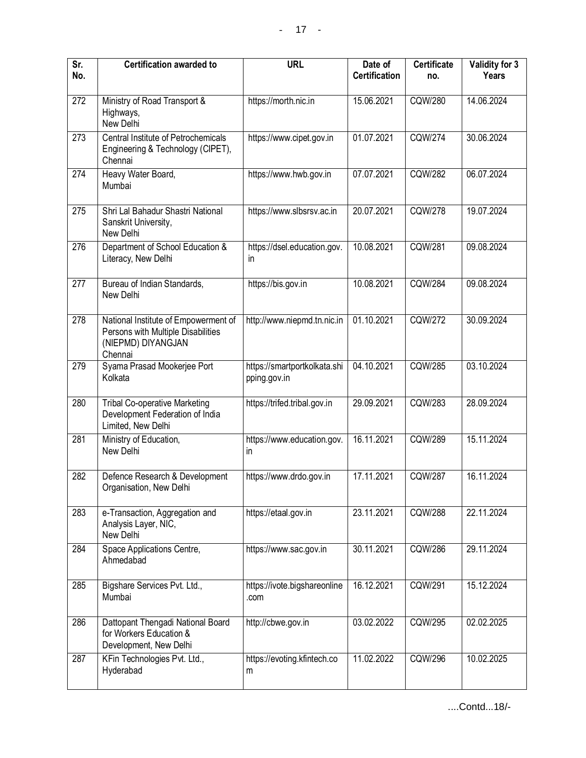| Sr.<br>No. | <b>Certification awarded to</b>                                                                             | <b>URL</b>                                   | Date of<br><b>Certification</b> | <b>Certificate</b><br>no. | Validity for 3<br>Years |
|------------|-------------------------------------------------------------------------------------------------------------|----------------------------------------------|---------------------------------|---------------------------|-------------------------|
| 272        | Ministry of Road Transport &<br>Highways,<br>New Delhi                                                      | https://morth.nic.in                         | 15.06.2021                      | CQW/280                   | 14.06.2024              |
| 273        | Central Institute of Petrochemicals<br>Engineering & Technology (CIPET),<br>Chennai                         | https://www.cipet.gov.in                     | 01.07.2021                      | <b>CQW/274</b>            | 30.06.2024              |
| 274        | Heavy Water Board,<br>Mumbai                                                                                | https://www.hwb.gov.in                       | 07.07.2021                      | <b>CQW/282</b>            | 06.07.2024              |
| 275        | Shri Lal Bahadur Shastri National<br>Sanskrit University,<br>New Delhi                                      | https://www.slbsrsv.ac.in                    | 20.07.2021                      | <b>CQW/278</b>            | 19.07.2024              |
| 276        | Department of School Education &<br>Literacy, New Delhi                                                     | https://dsel.education.gov.<br>in.           | 10.08.2021                      | <b>CQW/281</b>            | 09.08.2024              |
| 277        | Bureau of Indian Standards,<br>New Delhi                                                                    | https://bis.gov.in                           | 10.08.2021                      | <b>CQW/284</b>            | 09.08.2024              |
| 278        | National Institute of Empowerment of<br>Persons with Multiple Disabilities<br>(NIEPMD) DIYANGJAN<br>Chennai | http://www.niepmd.tn.nic.in                  | 01.10.2021                      | <b>CQW/272</b>            | 30.09.2024              |
| 279        | Syama Prasad Mookerjee Port<br>Kolkata                                                                      | https://smartportkolkata.shi<br>pping.gov.in | 04.10.2021                      | <b>CQW/285</b>            | 03.10.2024              |
| 280        | <b>Tribal Co-operative Marketing</b><br>Development Federation of India<br>Limited, New Delhi               | https://trifed.tribal.gov.in                 | 29.09.2021                      | <b>CQW/283</b>            | 28.09.2024              |
| 281        | Ministry of Education,<br>New Delhi                                                                         | https://www.education.gov.<br>in             | 16.11.2021                      | CQW/289                   | 15.11.2024              |
| 282        | Defence Research & Development<br>Organisation, New Delhi                                                   | https://www.drdo.gov.in                      | 17.11.2021                      | <b>CQW/287</b>            | 16.11.2024              |
| 283        | e-Transaction, Aggregation and<br>Analysis Layer, NIC,<br>New Delhi                                         | https://etaal.gov.in                         | 23.11.2021                      | <b>CQW/288</b>            | 22.11.2024              |
| 284        | Space Applications Centre,<br>Ahmedabad                                                                     | https://www.sac.gov.in                       | 30.11.2021                      | <b>CQW/286</b>            | 29.11.2024              |
| 285        | Bigshare Services Pvt. Ltd.,<br>Mumbai                                                                      | https://ivote.bigshareonline<br>.com         | 16.12.2021                      | CQW/291                   | 15.12.2024              |
| 286        | Dattopant Thengadi National Board<br>for Workers Education &<br>Development, New Delhi                      | http://cbwe.gov.in                           | 03.02.2022                      | <b>CQW/295</b>            | 02.02.2025              |
| 287        | KFin Technologies Pvt. Ltd.,<br>Hyderabad                                                                   | https://evoting.kfintech.co<br>m             | 11.02.2022                      | <b>CQW/296</b>            | 10.02.2025              |